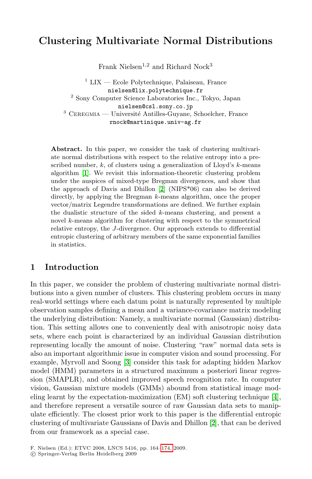# **Clustering Multivariate Normal Distributions**

Frank Nielsen<sup>1,2</sup> and Richard Nock<sup>3</sup>

 $1$  LIX — Ecole Polytechnique, Palaiseau, France nielsen@lix.polytechnique.fr <sup>2</sup> Sony Computer Science Laboratories Inc., Tokyo, Japan nielsen@csl.sony.co.jp  $3$  CEREGMIA — Université Antilles-Guyane, Schoelcher, France rnock@martinique.univ-ag.fr

Abstract. In this paper, we consider the task of clustering multivariate normal distributions with respect to the relative entropy into a prescribed number,  $k$ , of clusters using a generalization of Lloyd's  $k$ -means algorithm [1]. We revisit this information-theoretic clustering problem under the auspices of mixed-type Bregman divergences, and show that the approach of Davis and Dhillon [2] (NIPS\*06) can also be derived directly, by applying the Bregman k-means algorithm, once the proper vector/matrix Legendre transformations are defined. We further explain the dualistic structure of the sided  $k$ -means clustering, and present a novel k-means algorithm for clustering with respect to the symmetrical relative entropy, the J-divergence. Our approach extends to differential entropic clustering of arbitrary members of the same exponential families in statistics.

## **1 Introduction**

In this paper, we consider the problem of clustering multivariate normal distributions int[o](#page-10-0) a given number of clusters. This clustering problem occurs in many real-world settings where each datum point is naturally represented by multiple observation samples defining a mean and a variance-covariance matrix modeling the underlying distribution: Namely, a multivariate normal (Gaussian) distribution. This setting allows one to conveniently deal with [ani](#page-10-1)sotropic noisy data sets, where each point is characterized by an individual Gaussian distribution representing locally the amount of noise. Clustering "raw" normal data sets is also an important algorithmic issue in [com](#page-10-2)puter vision and sound processing. For example, Myrvoll and Soong [3] consider this task for adapting hidden Markov model (HMM) parameters in a structured maximum a posteriori linear regression (SMAPLR), and [obta](#page-10-3)ined improved speech recognition rate. In computer vision, Gaussian mixture models (GMMs) abound from statistical image modeling learnt by the expectation-maximization (EM) soft clustering technique [4], and therefore represent a versatile source of raw Gaussian data sets to manipulate efficiently. The closest prior work to this paper is the differential entropic clustering of multivariate Gaussians of Davis and Dhillon [2], that can be derived from our framework as a special case.

F. Nielsen (Ed.): ETVC 2008, LNCS 5416, pp. 164–174, 2009.

<sup>-</sup>c Springer-Verlag Berlin Heidelberg 2009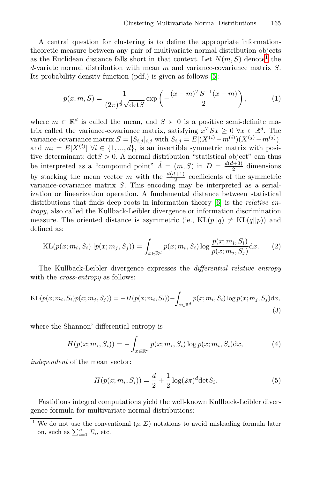<span id="page-1-0"></span>A central question for clustering is to define the appropriate informationtheoretic measure between any pair of multivariate normal distribution objects as the Euclidean distance falls short in that context. Let  $N(m, S)$  denote<sup>1</sup> the  $d$ -variate normal distribution with mean m and variance-covariance matrix  $S$ . Its probability density function (pdf.) is given as follows [5]:

$$
p(x; m, S) = \frac{1}{(2\pi)^{\frac{d}{2}}\sqrt{\det S}} \exp\left(-\frac{(x-m)^TS^{-1}(x-m)}{2}\right),
$$
 (1)

where  $m \in \mathbb{R}^d$  is called the mean, and  $S \succ 0$  is a positive semi-definite matrix called the variance-covariance matrix, satisfying  $x^T S x \geq 0 \ \forall x \in \mathbb{R}^d$ . The variance-covariance matrix  $S = [S_{i,j}]_{i,j}$  [wi](#page-10-4)th  $S_{i,j} = E[(X^{(i)} - m^{(i)})(X^{(j)} - m^{(j)})]$ and  $m_i = E[X^{(i)}]$   $\forall i \in \{1, ..., d\}$ , is an invertible symmetric matrix with positive determinant:  $\det S > 0$ . A normal distribution "statistical object" can thus be interpreted as a "compound point"  $\tilde{\Lambda} = (m, S)$  in  $D = \frac{d(d+3)}{2}$  dimensions by stacking the mean vector m with the  $\frac{d(d+1)}{2}$  coefficients of the symmetric variance-covariance matrix S. This encoding may be interpreted as a serialization or linearization operation. A fundamental distance between statistical distributions that finds deep roots in information theory  $[6]$  is the *relative en*tropy, also called the Kullback-Leibler divergence or information discrimination measure. The oriented distance is asymmetric (ie.,  $KL(p||q) \neq KL(q||p)$ ) and defined as:

KL
$$
(p(x; m_i, S_i)||p(x; m_j, S_j)) = \int_{x \in \mathbb{R}^d} p(x; m_i, S_i) \log \frac{p(x; m_i, S_i)}{p(x; m_j, S_j)} dx.
$$
 (2)

The Kullback-Leibler divergence expresses the differential relative entropy with the *cross-entropy* as follows:

$$
KL(p(x; m_i, S_i)p(x; m_j, S_j)) = -H(p(x; m_i, S_i)) - \int_{x \in \mathbb{R}^d} p(x; m_i, S_i) \log p(x; m_j, S_j) dx,
$$
\n(3)

where the Shannon' differential entropy is

$$
H(p(x; m_i, S_i)) = -\int_{x \in \mathbb{R}^d} p(x; m_i, S_i) \log p(x; m_i, S_i) dx,
$$
\n(4)

independent of the mean vector:

$$
H(p(x; m_i, S_i)) = \frac{d}{2} + \frac{1}{2} \log(2\pi)^d \det S_i.
$$
 (5)

Fastidious integral computations yield the well-known Kullback-Leibler divergence formula for multivariate normal distributions:

We do not use the conventional  $(\mu, \Sigma)$  notations to avoid misleading formula later on, such as  $\sum_{i=1}^{n} \Sigma_i$ , etc.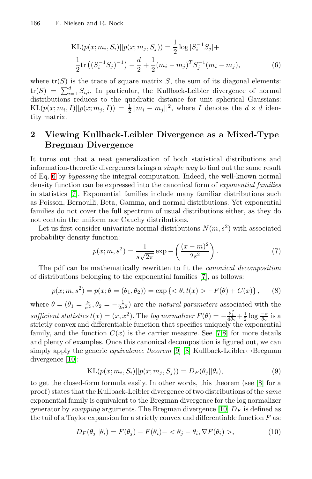$$
KL(p(x; m_i, S_i)||p(x; m_j, S_j)) = \frac{1}{2}\log|S_i^{-1}S_j| +
$$
  

$$
\frac{1}{2}\text{tr}((S_i^{-1}S_j)^{-1}) - \frac{d}{2} + \frac{1}{2}(m_i - m_j)^T S_j^{-1}(m_i - m_j),
$$
 (6)

where  $\text{tr}(S)$  is the trace of square matrix S, the sum of its diagonal elements:  $\text{tr}(S) = \sum_{i=1}^{d} S_{i,i}$ . In particular, the Kullback-Leibler divergence of normal distributions reduces to the quadratic distance for unit spherical Gaussians:  $KL(p(x; m_i, I)||p(x; m_j, I)) = \frac{1}{2}||m_i - m_j||^2$ , where I denotes the  $d \times d$  identity matrix.

## **2 Viewing Kullback-Leibler Divergence as a Mixed-Type Bregman Divergence**

It turns out that a neat generalization of both statistical distributions and information-theoretic divergences brings a simple way to find out the same result of Eq. 6 by bypassing the integral computation. Indeed, the well-known normal density function can be expressed into the canonical form of *exponential families* in statistics [7]. Exponential families include many familiar distributions such as Poisson, Bernoulli, Beta, Gamma, and normal distributions. Yet exponential families do not cover the full spect[ru](#page-10-5)m of usual distributions either, as they do not contain the uniform nor Cauchy distributions.

<span id="page-2-0"></span>Let us first consider univariate normal distributions  $N(m, s^2)$  with associated probability density function:

$$
p(x; m, s^2) = \frac{1}{s\sqrt{2\pi}} \exp\left(-\frac{(x-m)^2}{2s^2}\right).
$$
 (7)

The pdf can be mathematically rew[rit](#page-10-5)[te](#page-10-6)n to fit the canonical decomposition of distributions belonging to the exponential families [7], as follows:

$$
p(x; m, s2) = p(x; \theta = (\theta_1, \theta_2)) = \exp \{ \langle \theta, t(x) \rangle - F(\theta) + C(x) \}, \quad (8)
$$

where  $\theta = (\theta_1 = \frac{\mu}{\sigma^2}, \theta_2 = -\frac{1}{2\sigma^2})$  are the *natural parameters* associated with the sufficient statistics  $t(x) = (x, x^2)$ . The log normalizer  $F(\theta) = -\frac{\theta_1^2}{4\theta_2} + \frac{1}{2} \log \frac{-\pi}{\theta_2}$  $F(\theta) = -\frac{\theta_1^2}{4\theta_2} + \frac{1}{2} \log \frac{-\pi}{\theta_2}$  is a strictly convex and differentiable function that specifies uniquely the exponential family, and the function  $C(x)$  is the carrier measure. See [7,8] for more details and plenty of examples. Once this canoni[cal](#page-10-7) decomposition is figured out, we can simply apply the generic *equivalence theorem* [9] [8] Kullback-Leibler $\leftrightarrow$ Bregman divergence [10]:

$$
KL(p(x; m_i, S_i)||p(x; m_j, S_j)) = D_F(\theta_j || \theta_i),
$$
\n(9)

to get the closed-form formula easily. In other words, this theorem (see [8] for a proof) states that the Kullback-Leibler divergence of two distributions of the same exponential family is equivalent to the Bregman divergence for the log normalizer generator by *swapping* arguments. The Bregman divergence [10]  $D_F$  is defined as the tail of a Taylor expansion for a strictly convex and differentiable function  $F$  as:

$$
D_F(\theta_j||\theta_i) = F(\theta_j) - F(\theta_i) - \langle \theta_j - \theta_i, \nabla F(\theta_i) \rangle, \tag{10}
$$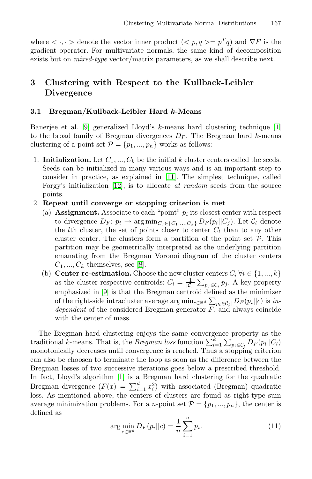where  $\langle \cdot, \cdot \rangle$  denote the vector inner product  $\langle \cdot, p, q \rangle = p^T q$  and  $\nabla F$  is the gradient operator. For multivariate normals, the same kind of decomposition exists but on mixed-type vector/matrix parameters, as we [sh](#page-10-8)all describe next.

# **3 Clustering with Respect to the Kullback-Leibler Divergence**

### **3.1 Bregman/Kull[back](#page-10-9)-Leibler Hard** *k***-Means**

Banerjee et al. [9] generalized Lloyd's k-means hard clustering technique [1] to the broad family of Bregman divergences  $D_F$ . The Bregman hard k-means clustering of a point set  $\mathcal{P} = \{p_1, ..., p_n\}$  works as follows:

1. **Initialization.** Let  $C_1, ..., C_k$  be the initial k cluster centers called the seeds. Seeds can be initialized in many various ways and is an important step to consider in practice, as explained in [11]. The simplest technique, called Forgy's initialization [12], is to allocate at random seeds from the source points.

## 2. **Repeat u[nt](#page-10-6)il converge or stopping criterion is met**

- (a) **Assignment.** Associate to each "point"  $p_i$  its closest center with respect to divergence  $D_F: p_i \to \arg\min_{C_j \in \{C_1, ..., C_k\}} D_F(p_i || C_j)$ . Let  $C_l$  denote the *l*th cluster, the set of points closer to center  $C_l$  than to any other cluster center. The clusters form a partition of the point set  $P$ . This partition may be geometrically interpreted as the underlying partition emanating from the Bregman Voronoi diagram of the cluster centers  $C_1, ..., C_k$  themselves, see [8].
- (b) **Center re-estimation.** Choose the new cluster centers  $C_i \forall i \in \{1, ..., k\}$ as the cluster respective centroids:  $C_i = \frac{1}{|\mathcal{C}_i|} \sum_{p_j \in \mathcal{C}_i} p_j$ . A key property emphasized in [9] is that the Bregman centroid defined as the minimizer of the right-side intracluster average  $\arg \min_{c \in \mathbb{R}^d} \sum_{p_i \in \mathcal{C}_l} |D_F(p_i||c)$  is *in*[dep](#page-10-8)endent of the considered Bregman generator  $\overline{F}$ , and always coincide with the center of mass.

The Bregman hard clustering enjoys the same convergence property as the traditional k-means. That is, the Bregman loss function  $\sum_{l=1}^{k} \sum_{p_i \in C_l} D_F(p_i || C_l)$ monotonically decreases until convergence is reached. Thus a stopping criterion can also be choosen to terminate the loop as soon as the difference between the Bregman losses of two successive iterations goes below a prescribed threshold. In fact, Lloyd's algorithm [1] is a Bregman hard clustering for the quadratic Bregman divergence  $(F(x) = \sum_{i=1}^{d} x_i^2)$  with associated (Bregman) quadratic loss. As mentioned above, the centers of clusters are found as right-type sum average minimization problems. For a *n*-point set  $\mathcal{P} = \{p_1, ..., p_n\}$ , the center is defined as

$$
\arg \min_{c \in \mathbb{R}^d} D_F(p_i || c) = \frac{1}{n} \sum_{i=1}^n p_i.
$$
 (11)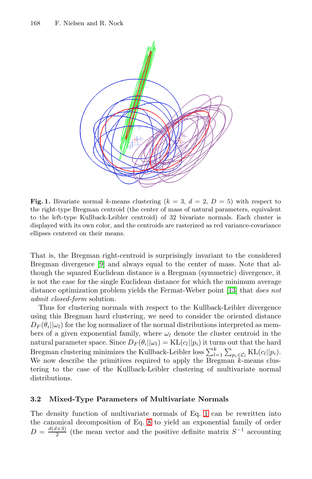

**Fi[g.](#page-10-10) 1.** Bivariate normal k-means clustering  $(k = 3, d = 2, D = 5)$  with respect to the right-type Bregman centroid (the center of mass of natural parameters, equivalent to the left-type Kullback-Leibler centroid) of 32 bivariate normals. Each cluster is displayed with its own color, and the centroids [are](#page-10-11) [r](#page-10-11)asterized as red variance-covariance ellipses centered on their means.

That is, the Bregman right-centroid is surprisingly invariant to the considered Bregman divergence [9] and always equal to the center of mass. Note that although the squared Euclidean distance is a Bregman (symmetric) divergence, it is not the case for the single Euclidean distance for which the minimum average distance optimization problem yields the Fermat-Weber point [13] that does not admit closed-form solution.

Thus for clustering normals with respect to the Kullback-Leibler divergence using this Bregman hard clustering, we need to consider the oriented distance  $D_F(\theta_i||\omega_i)$  for the log normalizer of the normal distributions interpreted as members of a given exponential family, where  $\omega_l$  denote the cluster centroid in the natural parameter space. S[i](#page-1-0)nce  $D_F(\theta_i||\omega_i) = \text{KL}(c_i||p_i)$  it turns out that the hard Bregman clusteri[ng](#page-2-0) minimizes the Kullback-Leibler loss  $\sum_{l=1}^{k} \sum_{p_i \in C_l} \text{KL}(c_l||p_i)$ . We now describe the primitives required to apply the Bregman k-means clustering to the case of the Kullback-Leibler clustering of multivariate normal distributions.

### **3.2 Mixed-Type Parameters of Multivariate Normals**

The density function of multivariate normals of Eq. 1 can be rewritten into the canonical decomposition of Eq. 8 to yield an exponential family of order  $D = \frac{d(d+3)}{2}$  (the mean vector and the positive definite matrix  $S^{-1}$  accounting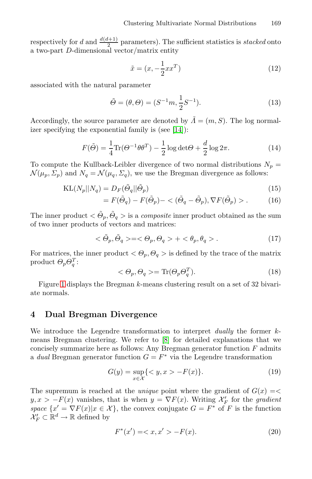respectively for d and  $\frac{d(d+1)}{2}$  parameters). The sufficient statistics is stacked onto a two-part D-dimensional vector/matrix entity

$$
\tilde{x} = (x, -\frac{1}{2}xx^T) \tag{12}
$$

associated with the natural parameter

$$
\tilde{\Theta} = (\theta, \Theta) = (S^{-1}m, \frac{1}{2}S^{-1}).
$$
\n(13)

Accordingly, the source parameter are denoted by  $\tilde{\Lambda} = (m, S)$ . The log normalizer specifying the exponential family is (see [14]):

$$
F(\tilde{\Theta}) = \frac{1}{4} \text{Tr}(\Theta^{-1} \theta \theta^{T}) - \frac{1}{2} \log \det \Theta + \frac{d}{2} \log 2\pi.
$$
 (14)

To compute the Kullback-Leibler divergence of two normal distributions  $N_p =$  $\mathcal{N}(\mu_p, \Sigma_p)$  and  $N_q = \mathcal{N}(\mu_q, \Sigma_q)$ , we use the Bregman divergence as follows:

$$
KL(N_p||N_q) = D_F(\tilde{\Theta}_q||\tilde{\Theta}_p)
$$
\n(15)

$$
= F(\tilde{\Theta}_q) - F(\tilde{\Theta}_p) - <(\tilde{\Theta}_q - \tilde{\Theta}_p), \nabla F(\tilde{\Theta}_p) > .
$$
 (16)

The inner product  $\langle \tilde{\Theta}_p, \tilde{\Theta}_q \rangle$  is a *composite* inner product obtained as the sum of two inner products of vectors and matrices:

$$
\langle \tilde{\Theta}_p, \tilde{\Theta}_q \rangle = \langle \Theta_p, \Theta_q \rangle + \langle \theta_p, \theta_q \rangle. \tag{17}
$$

For matrices, the inner product  $\langle \Theta_p, \Theta_q \rangle$  is defined by the trace of the matrix product  $\Theta_p \Theta_q^T$ :

$$
\langle \Theta_p, \Theta_q \rangle = \text{Tr}(\Theta_p \Theta_q^T). \tag{18}
$$

Figure 1 displays the Bregman k-means clustering result on a set of 32 bivariate normals.

## **4 Dual Bregman Divergence**

We introduce the Legendre transformation to interpret *dually* the former *k*means Bregman clustering. We refer to [8] for detailed explanations that we concisely summarize here as follows: Any Bregman generator function  $F$  admits a *dual* Bregman generator function  $G = F^*$  via the Legendre transformation

$$
G(y) = \sup_{x \in \mathcal{X}} \{ \langle y, x \rangle - F(x) \}. \tag{19}
$$

The supremum is reached at the *unique* point where the gradient of  $G(x) = \langle$  $y, x > -F(x)$  vanishes, that is when  $y = \nabla F(x)$ . Writing  $\mathcal{X}'_F$  for the gradient space  $\{x' = \nabla F(x) | x \in \mathcal{X}\}\,$ , the convex conjugate  $G = F^*$  of F is the function  $\mathcal{X}'_F \subset \mathbb{R}^d \to \mathbb{R}$  defined by

$$
F^*(x') = \langle x, x' \rangle - F(x). \tag{20}
$$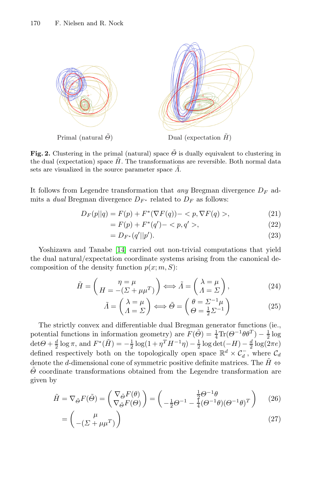

<span id="page-6-0"></span>**Fig. 2.** Clustering in the primal (natural) space  $\tilde{\Theta}$  is dually equivalent to clustering in the dual (expectation) space  $\tilde{H}$ . The transformations are reversible. Both normal data sets are visualized in the source parameter space  $\tilde{\Lambda}$ .

It follows from Legendre transformation that any Bregman divergence  $D_F$  admits a dual Bregman divergence  $D_{F^*}$  related to  $D_F$  as follows:

$$
D_F(p||q) = F(p) + F^*(\nabla F(q)) - \langle p, \nabla F(q) \rangle, \tag{21}
$$

$$
= F(p) + F^*(q') - \langle p, q' \rangle, \tag{22}
$$

$$
=D_{F^*}(q'||p').
$$
\n(23)

Yoshizawa and Tanabe [14] carried out non-trivial computations that yield the dual natural/expectation coordinate systems arising from the canonical decomposition of the density function  $p(x; m, S)$ :

$$
\tilde{H} = \begin{pmatrix} \eta = \mu \\ H = -(\Sigma + \mu\mu^T) \end{pmatrix} \Longleftrightarrow \tilde{\Lambda} = \begin{pmatrix} \lambda = \mu \\ \Lambda = \Sigma \end{pmatrix},
$$
\n(24)

$$
\tilde{\Lambda} = \begin{pmatrix} \lambda = \mu \\ \Lambda = \Sigma \end{pmatrix} \Longleftrightarrow \tilde{\Theta} = \begin{pmatrix} \theta = \Sigma^{-1} \mu \\ \Theta = \frac{1}{2} \Sigma^{-1} \end{pmatrix}
$$
(25)

The strictly convex and differentiable dual Bregman generator functions (ie., potential functions in information geometry) are  $F(\tilde{\Theta}) = \frac{1}{4} \text{Tr}(\Theta^{-1} \theta \theta^{T}) - \frac{1}{2} \log \theta$ det $\Theta + \frac{d}{2} \log \pi$ , and  $F^*(\tilde{H}) = -\frac{1}{2} \log(1 + \eta^T H^{-1} \eta) - \frac{1}{2} \log \det(-H) - \frac{d}{2} \log(2\pi e)$ defined respectively both on the topologically open space  $\mathbb{R}^d \times C_d^-$ , where  $C_d$ denote the d-dimensional cone of symmetric positive definite matrices. The  $H \Leftrightarrow$  $\Theta$  coordinate transformations obtained from the Legendre transformation are given by

$$
\tilde{H} = \nabla_{\tilde{\Theta}} F(\tilde{\Theta}) = \begin{pmatrix} \nabla_{\tilde{\Theta}} F(\theta) \\ \nabla_{\tilde{\Theta}} F(\Theta) \end{pmatrix} = \begin{pmatrix} \frac{1}{2} \Theta^{-1} \theta \\ -\frac{1}{2} \Theta^{-1} - \frac{1}{4} (\Theta^{-1} \theta) (\Theta^{-1} \theta)^T \end{pmatrix} \tag{26}
$$

$$
= \left(\begin{array}{c} \mu \\ -(\Sigma + \mu \mu^T) \end{array}\right) \tag{27}
$$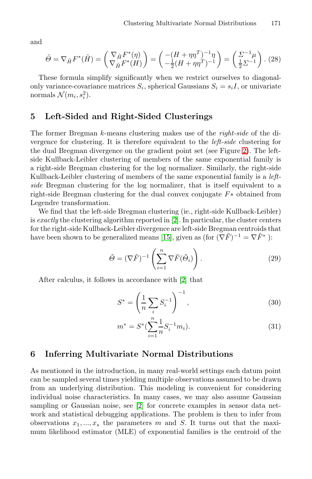and

$$
\tilde{\Theta} = \nabla_{\tilde{H}} F^*(\tilde{H}) = \begin{pmatrix} \nabla_{\tilde{H}} F^*(\eta) \\ \nabla_{\tilde{H}} F^*(H) \end{pmatrix} = \begin{pmatrix} -(H + \eta \eta^T)^{-1} \eta \\ -\frac{1}{2} (H + \eta \eta^T)^{-1} \end{pmatrix} = \begin{pmatrix} \Sigma^{-1} \mu \\ \frac{1}{2} \Sigma^{-1} \end{pmatrix} . (28)
$$

These formula simplify significantly when we restrict ourselves to diagonalonly variance-covariance matrices  $S_i$ , spherical [Gau](#page-6-0)ssians  $S_i = s_i I$ , or univariate normals  $\mathcal{N}(m_i, s_i^2)$ .

## **5 Left-Sided and Right-Sided Clusterings**

The former Bregman k-means clustering makes use of the right-side of the divergence for clustering. It is therefore equivalent to the left-side clustering for the dual Bregman diverge[nc](#page-10-2)e on the gradient point set (see Figure 2). The leftside Kullback-Leibler clustering of members of the same exponential family is a right-side Bregman [clus](#page-10-12)tering for the log normalizer. Similarly, the right-side Kullback-Leibler clustering of members of the same exponential family is a *left*side Bregman clustering for the log normalizer, that is itself equivalent to a right-side Bregman clustering for the dual convex conjugate F∗ obtained from Legendre transformation.

We find that the left-side [Br](#page-10-2)egman clustering (ie., right-side Kullback-Leibler) is exactly the clustering algorithm reported in  $[2]$ . In particular, the cluster centers for the right-side Kullback-Leibler divergence are left-side Bregman centroids that have been shown to be generalized means [15], given as (for  $(\nabla \tilde{F})^{-1} = \nabla \tilde{F}^*$ ):

$$
\tilde{\Theta} = (\nabla \tilde{F})^{-1} \left( \sum_{i=1}^{n} \nabla \tilde{F}(\tilde{\Theta}_{i}) \right). \tag{29}
$$

After calculus, it follows in accordance with [2] that

$$
S^* = \left(\frac{1}{n}\sum_i S_i^{-1}\right)^{-1},\tag{30}
$$

$$
m^* = S^* \left( \sum_{i=1}^n \frac{1}{n} S_i^{-1} m_i \right). \tag{31}
$$

## **6 Inferring Multivariate Normal Distributions**

As mentioned in the introduction, in many real-world settings each datum point can be sampled several times yielding multiple observations assumed to be drawn from an underlying distribution. This modeling is convenient for considering individual noise characteristics. In many cases, we may also assume Gaussian sampling or Gaussian noise, see [2] for concrete examples in sensor data network and statistical debugging applications. The problem is then to infer from observations  $x_1, \ldots, x_s$  the parameters m and S. It turns out that the maximum likelihood estimator (MLE) of exponential families is the centroid of the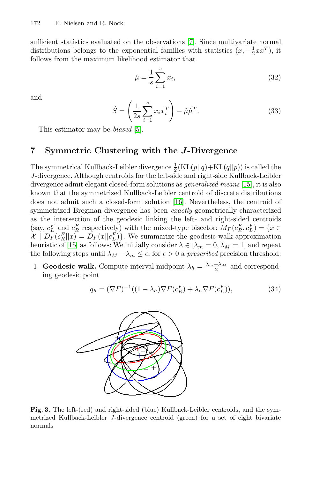sufficient statistics evaluated on the observations [7]. Since multivariate normal distributions belongs to the exponential families with statistics  $(x, -\frac{1}{2}xx^T)$ , it follows from t[he](#page-10-13) maximum likelihood estimator that

$$
\hat{\mu} = \frac{1}{s} \sum_{i=1}^{s} x_i,
$$
\n(32)

and

$$
\hat{S} = \left(\frac{1}{2s} \sum_{i=1}^{s} x_i x_i^T\right) - \hat{\mu}\hat{\mu}^T.
$$
\n(33)

This estimator may be [bias](#page-10-14)ed [5].

## **7 Symmetric Clustering with the** *J***-Divergence**

The symmetrical Kullback-Leibler divergence  $\frac{1}{2}$ (KL(p||q)+KL(q||p)) is called the J-divergence. Although centroids for the left-side and right-side Kullback-Leibler divergence admit elegant closed-form solutions as generalized means [15], it is also known that the symmetrized Kullback-Leibler centroid of discrete distributions does not admit such a closed-form solution [16]. Nevertheless, the centroid of symmetrized Bregman divergence has been *exactly* geometrically characterized as the intersection of the geodesic linking the left- and right-sided centroids (say,  $c_L^F$  and  $c_R^F$  respectively) with the mixed-type bisector:  $M_F(c_R^F, c_L^F) = \{x \in$  $\mathcal{X} \mid D_F(c_R^F||x) = D_F(x||c_L^F)$ . We summarize the geodesic-walk approximation heuristic of [15] as follows: We initially consider  $\lambda \in [\lambda_m = 0, \lambda_M = 1]$  and repeat the following steps until  $\lambda_M - \lambda_m \leq \epsilon$ , for  $\epsilon > 0$  a *prescribed* precision threshold:

1. **Geodesic walk.** Compute interval midpoint  $\lambda_h = \frac{\lambda_m + \lambda_M}{2}$  and corresponding geodesic point

$$
q_h = (\nabla F)^{-1}((1 - \lambda_h)\nabla F(c_R^F) + \lambda_h \nabla F(c_L^F)),
$$
\n(34)



**Fig. 3.** The left-(red) and right-sided (blue) Kullback-Leibler centroids, and the symmetrized Kullback-Leibler J-divergence centroid (green) for a set of eight bivariate normals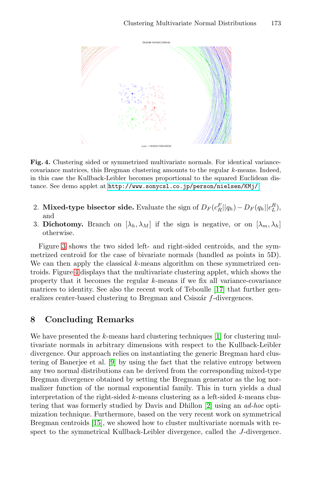

**Fig. 4.** Clustering sided or symmetrized multivariate normals. For identical variancecovariance matrices, this Bregman clustering amounts to the regular k-means. Indeed, in this case the Kullback-Leibler becomes proportional to the squared Euclidean distance. See demo applet at http://www.sonycsl.co.jp/person/nielsen/KMj/

- 2. **Mixed-type bisector side.** Evaluate the sign of  $D_F(c_R^F||q_h) D_F(q_h||c_L^R)$ , and
- 3. **Dicho[t](#page-10-15)omy.** Branch on  $[\lambda_h, \lambda_M]$  [if](#page-10-15) the sign is negative, or on  $[\lambda_m, \lambda_h]$ otherwise.

Figure 3 shows the two sided left- and right-sided centroids, and the symmetrized centroid for the case of bivariate normals (handled as points in 5D). We can then apply the classical  $k$ -means algorithm on these symmetrized centroids. Figure 4 displays that the multiv[ar](#page-10-8)iate clustering applet, which shows the property that it becomes the regular k-means if we fix all variance-covariance matrices to identity. See also the recent work of Teboulle [17] that further generaliz[es](#page-10-10) center-based clustering to Bregman and Csiszár  $f$ -divergences.

## **8 Concluding Remarks**

We have presented the  $k$ -means hard [cl](#page-10-2)ustering techniques [1] for clustering multivariate normals in arbitrary dimensions with respect to the Kullback-Leibler [dive](#page-10-12)rgence. Our approach relies on instantiating the generic Bregman hard clustering of Banerjee et al. [9] by using the fact that the relative entropy between any two normal distributions can be derived from the corresponding mixed-type Bregman divergence obtained by setting the Bregman generator as the log normalizer function of the normal exponential family. This in turn yields a dual interpretation of the right-sided  $k$ -means clustering as a left-sided  $k$ -means clustering that was formerly studied by Davis and Dhillon [2] using an ad-hoc optimization technique. Furthermore, based on the very recent work on symmetrical Bregman centroids [15], we showed how to cluster multivariate normals with respect to the symmetrical Kullback-Leibler divergence, called the J-divergence.